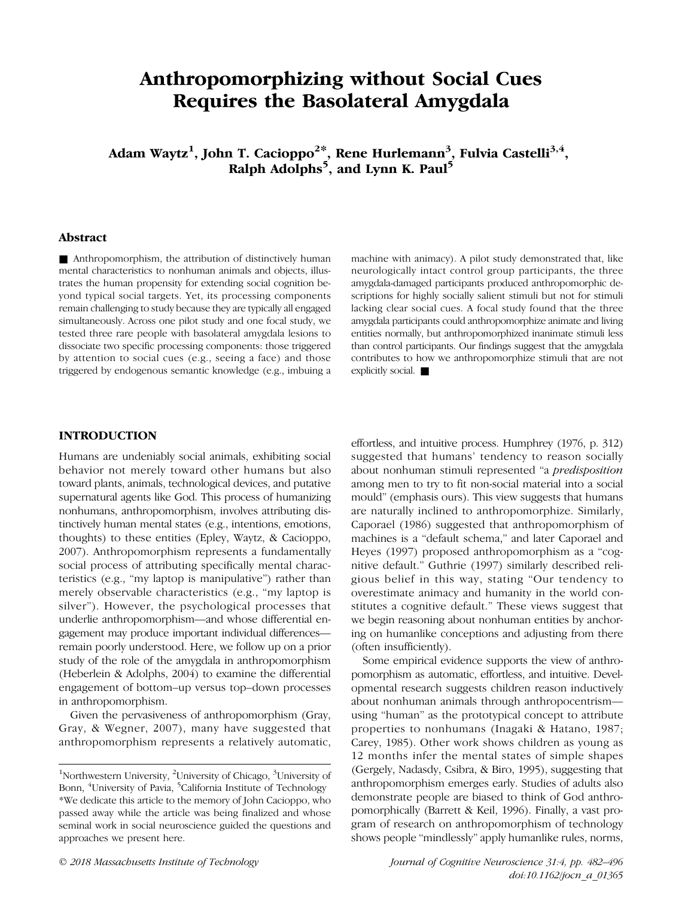# Anthropomorphizing without Social Cues Requires the Basolateral Amygdala

Adam Waytz<sup>1</sup>, John T. Cacioppo<sup>2\*</sup>, Rene Hurlemann<sup>3</sup>, Fulvia Castelli<sup>3,4</sup>, Ralph Adolphs<sup>5</sup>, and Lynn K. Paul<sup>5</sup>

#### Abstract

■ Anthropomorphism, the attribution of distinctively human mental characteristics to nonhuman animals and objects, illustrates the human propensity for extending social cognition beyond typical social targets. Yet, its processing components remain challenging to study because they are typically all engaged simultaneously. Across one pilot study and one focal study, we tested three rare people with basolateral amygdala lesions to dissociate two specific processing components: those triggered by attention to social cues (e.g., seeing a face) and those triggered by endogenous semantic knowledge (e.g., imbuing a

machine with animacy). A pilot study demonstrated that, like neurologically intact control group participants, the three amygdala-damaged participants produced anthropomorphic descriptions for highly socially salient stimuli but not for stimuli lacking clear social cues. A focal study found that the three amygdala participants could anthropomorphize animate and living entities normally, but anthropomorphized inanimate stimuli less than control participants. Our findings suggest that the amygdala contributes to how we anthropomorphize stimuli that are not explicitly social. ■

## INTRODUCTION

Humans are undeniably social animals, exhibiting social behavior not merely toward other humans but also toward plants, animals, technological devices, and putative supernatural agents like God. This process of humanizing nonhumans, anthropomorphism, involves attributing distinctively human mental states (e.g., intentions, emotions, thoughts) to these entities (Epley, Waytz, & Cacioppo, 2007). Anthropomorphism represents a fundamentally social process of attributing specifically mental characteristics (e.g., "my laptop is manipulative") rather than merely observable characteristics (e.g., "my laptop is silver"). However, the psychological processes that underlie anthropomorphism—and whose differential engagement may produce important individual differences remain poorly understood. Here, we follow up on a prior study of the role of the amygdala in anthropomorphism (Heberlein & Adolphs, 2004) to examine the differential engagement of bottom–up versus top–down processes in anthropomorphism.

Given the pervasiveness of anthropomorphism (Gray, Gray, & Wegner, 2007), many have suggested that anthropomorphism represents a relatively automatic, effortless, and intuitive process. Humphrey (1976, p. 312) suggested that humans' tendency to reason socially about nonhuman stimuli represented "a *predisposition* among men to try to fit non-social material into a social mould" (emphasis ours). This view suggests that humans are naturally inclined to anthropomorphize. Similarly, Caporael (1986) suggested that anthropomorphism of machines is a "default schema," and later Caporael and Heyes (1997) proposed anthropomorphism as a "cognitive default." Guthrie (1997) similarly described religious belief in this way, stating "Our tendency to overestimate animacy and humanity in the world constitutes a cognitive default." These views suggest that we begin reasoning about nonhuman entities by anchoring on humanlike conceptions and adjusting from there (often insufficiently).

Some empirical evidence supports the view of anthropomorphism as automatic, effortless, and intuitive. Developmental research suggests children reason inductively about nonhuman animals through anthropocentrism using "human" as the prototypical concept to attribute properties to nonhumans (Inagaki & Hatano, 1987; Carey, 1985). Other work shows children as young as 12 months infer the mental states of simple shapes (Gergely, Nadasdy, Csibra, & Biro, 1995), suggesting that anthropomorphism emerges early. Studies of adults also demonstrate people are biased to think of God anthropomorphically (Barrett & Keil, 1996). Finally, a vast program of research on anthropomorphism of technology shows people "mindlessly" apply humanlike rules, norms,

<sup>&</sup>lt;sup>1</sup>Northwestern University, <sup>2</sup>University of Chicago, <sup>3</sup>University of Bonn, <sup>4</sup>University of Pavia, <sup>5</sup>California Institute of Technology \*We dedicate this article to the memory of John Cacioppo, who passed away while the article was being finalized and whose seminal work in social neuroscience guided the questions and approaches we present here.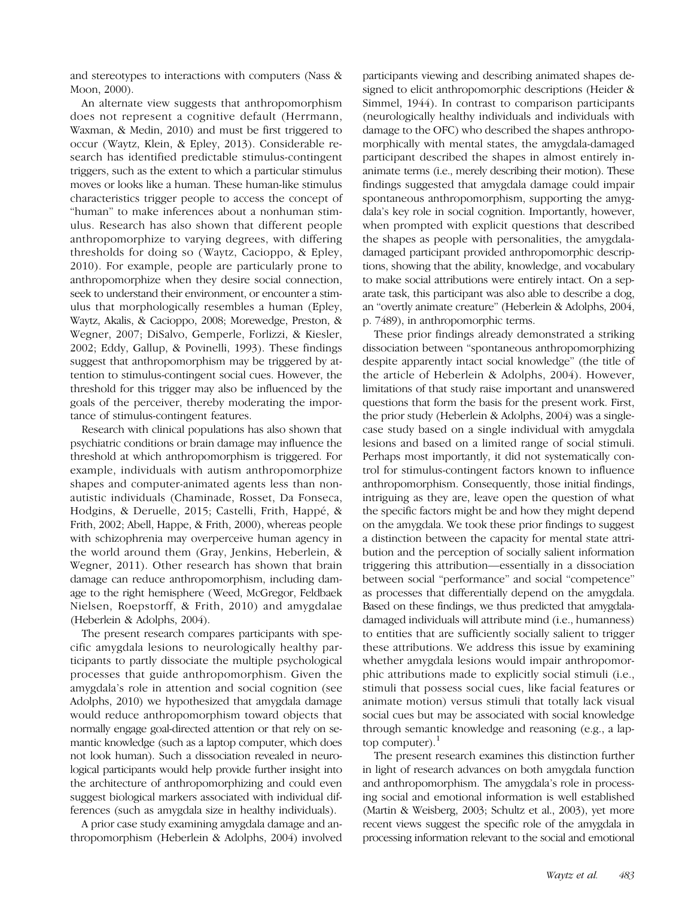and stereotypes to interactions with computers (Nass & Moon, 2000).

An alternate view suggests that anthropomorphism does not represent a cognitive default (Herrmann, Waxman, & Medin, 2010) and must be first triggered to occur (Waytz, Klein, & Epley, 2013). Considerable research has identified predictable stimulus-contingent triggers, such as the extent to which a particular stimulus moves or looks like a human. These human-like stimulus characteristics trigger people to access the concept of "human" to make inferences about a nonhuman stimulus. Research has also shown that different people anthropomorphize to varying degrees, with differing thresholds for doing so (Waytz, Cacioppo, & Epley, 2010). For example, people are particularly prone to anthropomorphize when they desire social connection, seek to understand their environment, or encounter a stimulus that morphologically resembles a human (Epley, Waytz, Akalis, & Cacioppo, 2008; Morewedge, Preston, & Wegner, 2007; DiSalvo, Gemperle, Forlizzi, & Kiesler, 2002; Eddy, Gallup, & Povinelli, 1993). These findings suggest that anthropomorphism may be triggered by attention to stimulus-contingent social cues. However, the threshold for this trigger may also be influenced by the goals of the perceiver, thereby moderating the importance of stimulus-contingent features.

Research with clinical populations has also shown that psychiatric conditions or brain damage may influence the threshold at which anthropomorphism is triggered. For example, individuals with autism anthropomorphize shapes and computer-animated agents less than nonautistic individuals (Chaminade, Rosset, Da Fonseca, Hodgins, & Deruelle, 2015; Castelli, Frith, Happé, & Frith, 2002; Abell, Happe, & Frith, 2000), whereas people with schizophrenia may overperceive human agency in the world around them (Gray, Jenkins, Heberlein, & Wegner, 2011). Other research has shown that brain damage can reduce anthropomorphism, including damage to the right hemisphere (Weed, McGregor, Feldbaek Nielsen, Roepstorff, & Frith, 2010) and amygdalae (Heberlein & Adolphs, 2004).

The present research compares participants with specific amygdala lesions to neurologically healthy participants to partly dissociate the multiple psychological processes that guide anthropomorphism. Given the amygdala's role in attention and social cognition (see Adolphs, 2010) we hypothesized that amygdala damage would reduce anthropomorphism toward objects that normally engage goal-directed attention or that rely on semantic knowledge (such as a laptop computer, which does not look human). Such a dissociation revealed in neurological participants would help provide further insight into the architecture of anthropomorphizing and could even suggest biological markers associated with individual differences (such as amygdala size in healthy individuals).

A prior case study examining amygdala damage and anthropomorphism (Heberlein & Adolphs, 2004) involved

participants viewing and describing animated shapes designed to elicit anthropomorphic descriptions (Heider & Simmel, 1944). In contrast to comparison participants (neurologically healthy individuals and individuals with damage to the OFC) who described the shapes anthropomorphically with mental states, the amygdala-damaged participant described the shapes in almost entirely inanimate terms (i.e., merely describing their motion). These findings suggested that amygdala damage could impair spontaneous anthropomorphism, supporting the amygdala's key role in social cognition. Importantly, however, when prompted with explicit questions that described the shapes as people with personalities, the amygdaladamaged participant provided anthropomorphic descriptions, showing that the ability, knowledge, and vocabulary to make social attributions were entirely intact. On a separate task, this participant was also able to describe a dog, an "overtly animate creature" (Heberlein & Adolphs, 2004, p. 7489), in anthropomorphic terms.

These prior findings already demonstrated a striking dissociation between "spontaneous anthropomorphizing despite apparently intact social knowledge" (the title of the article of Heberlein & Adolphs, 2004). However, limitations of that study raise important and unanswered questions that form the basis for the present work. First, the prior study (Heberlein & Adolphs, 2004) was a singlecase study based on a single individual with amygdala lesions and based on a limited range of social stimuli. Perhaps most importantly, it did not systematically control for stimulus-contingent factors known to influence anthropomorphism. Consequently, those initial findings, intriguing as they are, leave open the question of what the specific factors might be and how they might depend on the amygdala. We took these prior findings to suggest a distinction between the capacity for mental state attribution and the perception of socially salient information triggering this attribution—essentially in a dissociation between social "performance" and social "competence" as processes that differentially depend on the amygdala. Based on these findings, we thus predicted that amygdaladamaged individuals will attribute mind (i.e., humanness) to entities that are sufficiently socially salient to trigger these attributions. We address this issue by examining whether amygdala lesions would impair anthropomorphic attributions made to explicitly social stimuli (i.e., stimuli that possess social cues, like facial features or animate motion) versus stimuli that totally lack visual social cues but may be associated with social knowledge through semantic knowledge and reasoning (e.g., a laptop computer). $<sup>1</sup>$ </sup>

The present research examines this distinction further in light of research advances on both amygdala function and anthropomorphism. The amygdala's role in processing social and emotional information is well established (Martin & Weisberg, 2003; Schultz et al., 2003), yet more recent views suggest the specific role of the amygdala in processing information relevant to the social and emotional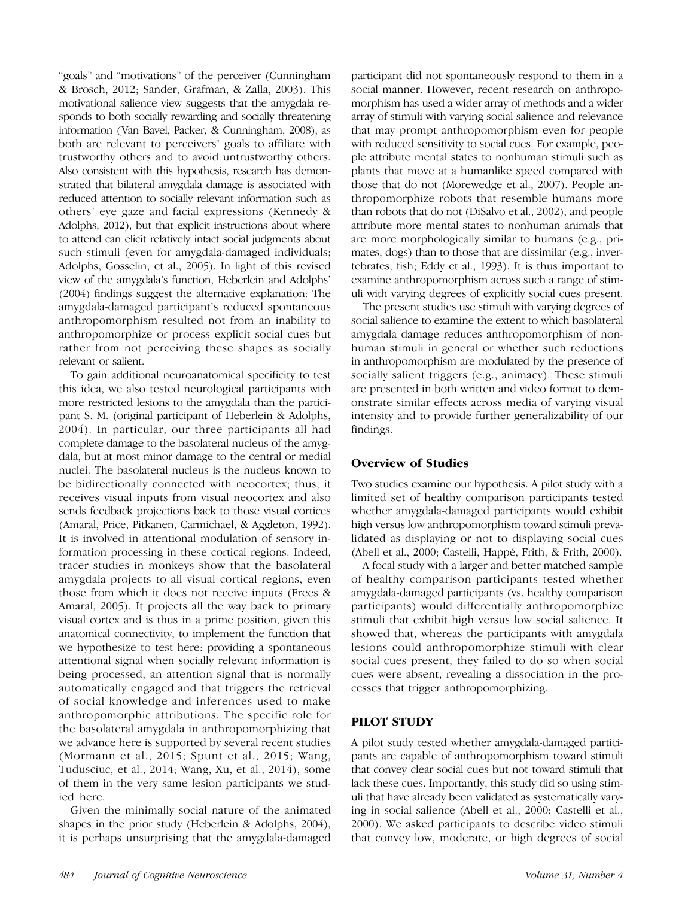"goals" and "motivations" of the perceiver (Cunningham & Brosch, 2012; Sander, Grafman, & Zalla, 2003). This motivational salience view suggests that the amygdala responds to both socially rewarding and socially threatening information (Van Bavel, Packer, & Cunningham, 2008), as both are relevant to perceivers' goals to affiliate with trustworthy others and to avoid untrustworthy others. Also consistent with this hypothesis, research has demonstrated that bilateral amygdala damage is associated with reduced attention to socially relevant information such as others' eye gaze and facial expressions (Kennedy & Adolphs, 2012), but that explicit instructions about where to attend can elicit relatively intact social judgments about such stimuli (even for amygdala-damaged individuals; Adolphs, Gosselin, et al., 2005). In light of this revised view of the amygdala's function, Heberlein and Adolphs' (2004) findings suggest the alternative explanation: The amygdala-damaged participant's reduced spontaneous anthropomorphism resulted not from an inability to anthropomorphize or process explicit social cues but rather from not perceiving these shapes as socially relevant or salient.

To gain additional neuroanatomical specificity to test this idea, we also tested neurological participants with more restricted lesions to the amygdala than the participant S. M. (original participant of Heberlein & Adolphs, 2004). In particular, our three participants all had complete damage to the basolateral nucleus of the amygdala, but at most minor damage to the central or medial nuclei. The basolateral nucleus is the nucleus known to be bidirectionally connected with neocortex; thus, it receives visual inputs from visual neocortex and also sends feedback projections back to those visual cortices (Amaral, Price, Pitkanen, Carmichael, & Aggleton, 1992). It is involved in attentional modulation of sensory information processing in these cortical regions. Indeed, tracer studies in monkeys show that the basolateral amygdala projects to all visual cortical regions, even those from which it does not receive inputs (Frees & Amaral, 2005). It projects all the way back to primary visual cortex and is thus in a prime position, given this anatomical connectivity, to implement the function that we hypothesize to test here: providing a spontaneous attentional signal when socially relevant information is being processed, an attention signal that is normally automatically engaged and that triggers the retrieval of social knowledge and inferences used to make anthropomorphic attributions. The specific role for the basolateral amygdala in anthropomorphizing that we advance here is supported by several recent studies (Mormann et al., 2015; Spunt et al., 2015; Wang, Tudusciuc, et al., 2014; Wang, Xu, et al., 2014), some of them in the very same lesion participants we studied here.

Given the minimally social nature of the animated shapes in the prior study (Heberlein & Adolphs, 2004), it is perhaps unsurprising that the amygdala-damaged

participant did not spontaneously respond to them in a social manner. However, recent research on anthropomorphism has used a wider array of methods and a wider array of stimuli with varying social salience and relevance that may prompt anthropomorphism even for people with reduced sensitivity to social cues. For example, people attribute mental states to nonhuman stimuli such as plants that move at a humanlike speed compared with those that do not (Morewedge et al., 2007). People anthropomorphize robots that resemble humans more than robots that do not (DiSalvo et al., 2002), and people attribute more mental states to nonhuman animals that are more morphologically similar to humans (e.g., primates, dogs) than to those that are dissimilar (e.g., invertebrates, fish; Eddy et al., 1993). It is thus important to examine anthropomorphism across such a range of stimuli with varying degrees of explicitly social cues present.

The present studies use stimuli with varying degrees of social salience to examine the extent to which basolateral amygdala damage reduces anthropomorphism of nonhuman stimuli in general or whether such reductions in anthropomorphism are modulated by the presence of socially salient triggers (e.g., animacy). These stimuli are presented in both written and video format to demonstrate similar effects across media of varying visual intensity and to provide further generalizability of our findings.

# Overview of Studies

Two studies examine our hypothesis. A pilot study with a limited set of healthy comparison participants tested whether amygdala-damaged participants would exhibit high versus low anthropomorphism toward stimuli prevalidated as displaying or not to displaying social cues (Abell et al., 2000; Castelli, Happé, Frith, & Frith, 2000).

A focal study with a larger and better matched sample of healthy comparison participants tested whether amygdala-damaged participants (vs. healthy comparison participants) would differentially anthropomorphize stimuli that exhibit high versus low social salience. It showed that, whereas the participants with amygdala lesions could anthropomorphize stimuli with clear social cues present, they failed to do so when social cues were absent, revealing a dissociation in the processes that trigger anthropomorphizing.

# PILOT STUDY

A pilot study tested whether amygdala-damaged participants are capable of anthropomorphism toward stimuli that convey clear social cues but not toward stimuli that lack these cues. Importantly, this study did so using stimuli that have already been validated as systematically varying in social salience (Abell et al., 2000; Castelli et al., 2000). We asked participants to describe video stimuli that convey low, moderate, or high degrees of social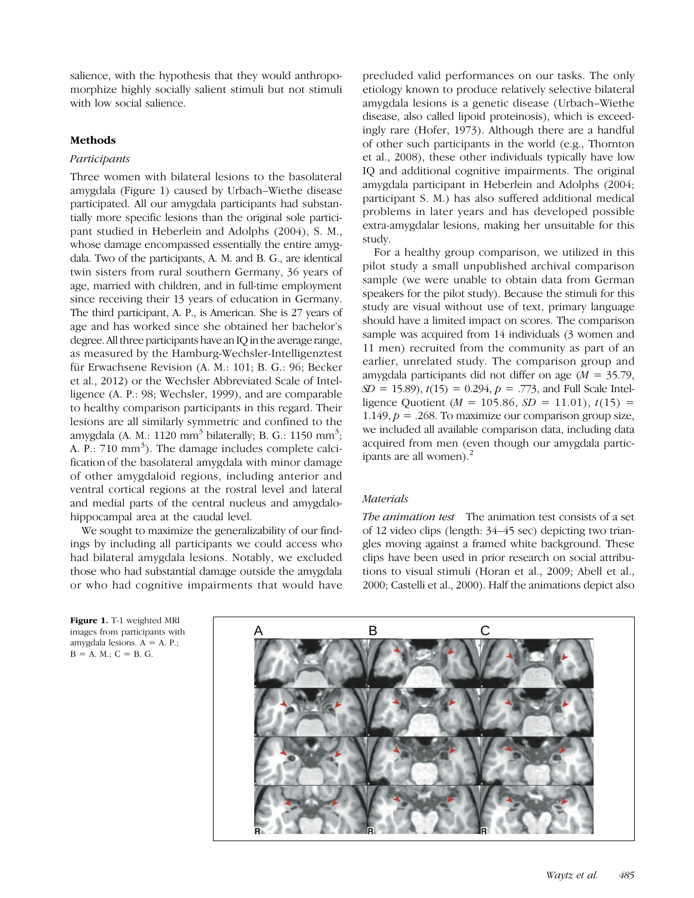salience, with the hypothesis that they would anthropomorphize highly socially salient stimuli but not stimuli with low social salience.

#### Methods

#### Participants

Three women with bilateral lesions to the basolateral amygdala (Figure 1) caused by Urbach–Wiethe disease participated. All our amygdala participants had substantially more specific lesions than the original sole participant studied in Heberlein and Adolphs (2004), S. M., whose damage encompassed essentially the entire amygdala. Two of the participants, A. M. and B. G., are identical twin sisters from rural southern Germany, 36 years of age, married with children, and in full-time employment since receiving their 13 years of education in Germany. The third participant, A. P., is American. She is 27 years of age and has worked since she obtained her bachelor's degree. All three participants have an IQ in the average range, as measured by the Hamburg-Wechsler-Intelligenztest für Erwachsene Revision (A. M.: 101; B. G.: 96; Becker et al., 2012) or the Wechsler Abbreviated Scale of Intelligence (A. P.: 98; Wechsler, 1999), and are comparable to healthy comparison participants in this regard. Their lesions are all similarly symmetric and confined to the amygdala (A. M.: 1120 mm<sup>3</sup> bilaterally; B. G.: 1150 mm<sup>3</sup>; A. P.:  $710 \text{ mm}^3$ ). The damage includes complete calcification of the basolateral amygdala with minor damage of other amygdaloid regions, including anterior and ventral cortical regions at the rostral level and lateral and medial parts of the central nucleus and amygdalohippocampal area at the caudal level.

We sought to maximize the generalizability of our findings by including all participants we could access who had bilateral amygdala lesions. Notably, we excluded those who had substantial damage outside the amygdala or who had cognitive impairments that would have precluded valid performances on our tasks. The only etiology known to produce relatively selective bilateral amygdala lesions is a genetic disease (Urbach–Wiethe disease, also called lipoid proteinosis), which is exceedingly rare (Hofer, 1973). Although there are a handful of other such participants in the world (e.g., Thornton et al., 2008), these other individuals typically have low IQ and additional cognitive impairments. The original amygdala participant in Heberlein and Adolphs (2004; participant S. M.) has also suffered additional medical problems in later years and has developed possible extra-amygdalar lesions, making her unsuitable for this study.

For a healthy group comparison, we utilized in this pilot study a small unpublished archival comparison sample (we were unable to obtain data from German speakers for the pilot study). Because the stimuli for this study are visual without use of text, primary language should have a limited impact on scores. The comparison sample was acquired from 14 individuals (3 women and 11 men) recruited from the community as part of an earlier, unrelated study. The comparison group and amygdala participants did not differ on age  $(M = 35.79)$ ,  $SD = 15.89$ ,  $t(15) = 0.294$ ,  $p = .773$ , and Full Scale Intelligence Quotient ( $M = 105.86$ ,  $SD = 11.01$ ),  $t(15) =$ 1.149,  $p = 0.268$ . To maximize our comparison group size, we included all available comparison data, including data acquired from men (even though our amygdala participants are all women). $^{2}$ 

#### **Materials**

The animation test The animation test consists of a set of 12 video clips (length: 34–45 sec) depicting two triangles moving against a framed white background. These clips have been used in prior research on social attributions to visual stimuli (Horan et al., 2009; Abell et al., 2000; Castelli et al., 2000). Half the animations depict also

Figure 1. T-1 weighted MRI images from participants with amygdala lesions. A = A. P.;  $B = A. M.; C = B. G.$ 

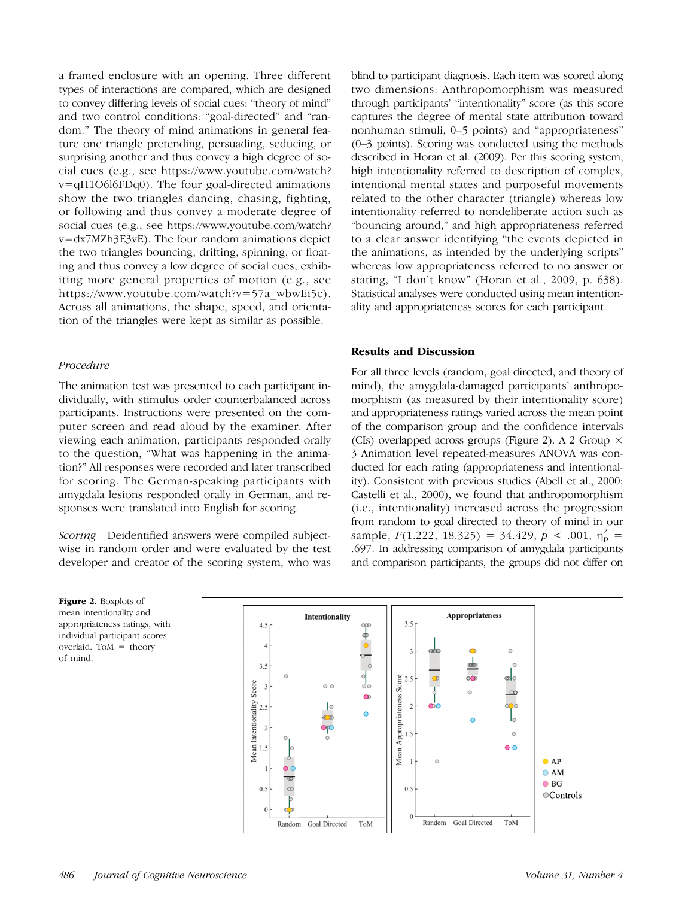a framed enclosure with an opening. Three different types of interactions are compared, which are designed to convey differing levels of social cues: "theory of mind" and two control conditions: "goal-directed" and "random." The theory of mind animations in general feature one triangle pretending, persuading, seducing, or surprising another and thus convey a high degree of social cues (e.g., see https://www.youtube.com/watch? v=qH1O6l6FDq0). The four goal-directed animations show the two triangles dancing, chasing, fighting, or following and thus convey a moderate degree of social cues (e.g., see https://www.youtube.com/watch? v=dx7MZh3E3vE). The four random animations depict the two triangles bouncing, drifting, spinning, or floating and thus convey a low degree of social cues, exhibiting more general properties of motion (e.g., see https://www.youtube.com/watch?v=57a\_wbwEi5c). Across all animations, the shape, speed, and orientation of the triangles were kept as similar as possible.

## Procedure

The animation test was presented to each participant individually, with stimulus order counterbalanced across participants. Instructions were presented on the computer screen and read aloud by the examiner. After viewing each animation, participants responded orally to the question, "What was happening in the animation?" All responses were recorded and later transcribed for scoring. The German-speaking participants with amygdala lesions responded orally in German, and responses were translated into English for scoring.

Scoring Deidentified answers were compiled subjectwise in random order and were evaluated by the test developer and creator of the scoring system, who was blind to participant diagnosis. Each item was scored along two dimensions: Anthropomorphism was measured through participants' "intentionality" score (as this score captures the degree of mental state attribution toward nonhuman stimuli, 0–5 points) and "appropriateness" (0–3 points). Scoring was conducted using the methods described in Horan et al. (2009). Per this scoring system, high intentionality referred to description of complex, intentional mental states and purposeful movements related to the other character (triangle) whereas low intentionality referred to nondeliberate action such as "bouncing around," and high appropriateness referred to a clear answer identifying "the events depicted in the animations, as intended by the underlying scripts" whereas low appropriateness referred to no answer or stating, "I don't know" (Horan et al., 2009, p. 638). Statistical analyses were conducted using mean intentionality and appropriateness scores for each participant.

## Results and Discussion

For all three levels (random, goal directed, and theory of mind), the amygdala-damaged participants' anthropomorphism (as measured by their intentionality score) and appropriateness ratings varied across the mean point of the comparison group and the confidence intervals (CIs) overlapped across groups (Figure 2). A 2 Group  $\times$ 3 Animation level repeated-measures ANOVA was conducted for each rating (appropriateness and intentionality). Consistent with previous studies (Abell et al., 2000; Castelli et al., 2000), we found that anthropomorphism (i.e., intentionality) increased across the progression from random to goal directed to theory of mind in our sample,  $F(1.222, 18.325) = 34.429, p < .001, \eta_p^2 =$ .697. In addressing comparison of amygdala participants and comparison participants, the groups did not differ on

Appropriateness Intentionality  $3.5$  $4.5$  $\circ$  $\frac{1}{\frac{1}{\sqrt{1-\frac{1}{2}}}}$  $3.3$  $\frac{1}{2}$ œ Mean Appropriateness Score Mean Intentionality Score<br>  $\frac{1}{2}$   $\frac{1}{2}$   $\frac{1}{2}$   $\frac{1}{2}$  $\circ$   $\circ$  $\circ$  $\alpha$  $\overline{2}$  $\bullet$ 2  $1<sup>4</sup>$  $\circ$  $\circ$  $^{\bullet}$  AP  $\bigcirc$  AM  $\bullet$  BG  $0.3$  $0.5$ **○Controls**  $\Omega$  $\Omega$ Random Goal Directed Goal Directed ToM ToM Random

Figure 2. Boxplots of mean intentionality and appropriateness ratings, with individual participant scores overlaid. To $M =$  theory of mind.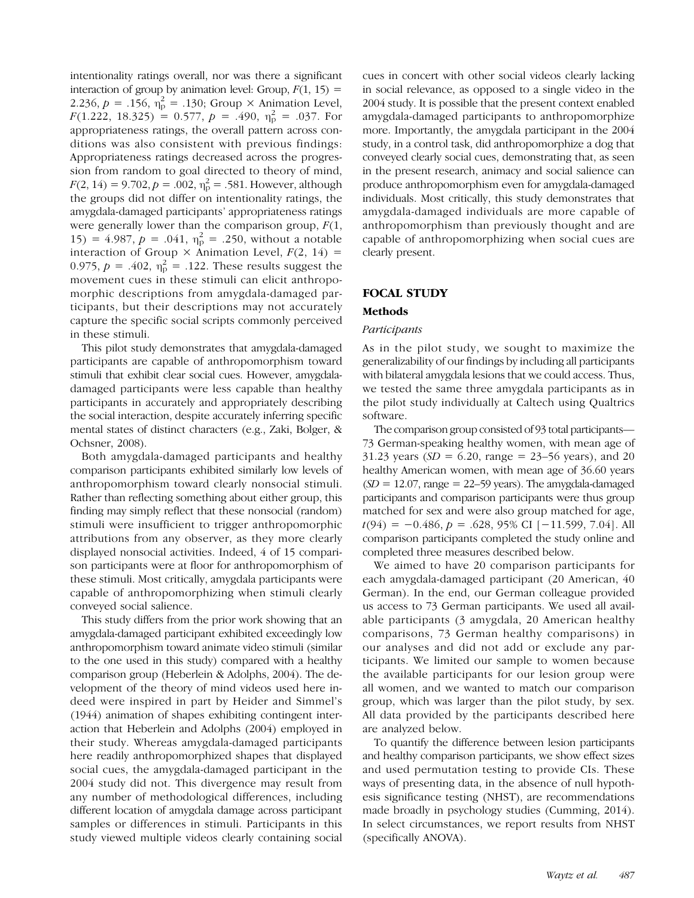intentionality ratings overall, nor was there a significant interaction of group by animation level: Group,  $F(1, 15) =$ 2.236,  $p = .156$ ,  $\eta_p^2 = .130$ ; Group × Animation Level,  $F(1.222, 18.325) = 0.577, p = .490, \eta_p^2 = .037$ . For appropriateness ratings, the overall pattern across conditions was also consistent with previous findings: Appropriateness ratings decreased across the progression from random to goal directed to theory of mind,  $F(2, 14) = 9.702, p = .002, \eta_p^2 = .581$ . However, although the groups did not differ on intentionality ratings, the amygdala-damaged participants' appropriateness ratings were generally lower than the comparison group,  $F(1, \mathcal{L})$ 15) = 4.987,  $p = .041$ ,  $\eta_p^2 = .250$ , without a notable interaction of Group  $\times$  Animation Level,  $F(2, 14) =$ 0.975,  $p = .402$ ,  $\eta_p^2 = .122$ . These results suggest the movement cues in these stimuli can elicit anthropomorphic descriptions from amygdala-damaged participants, but their descriptions may not accurately capture the specific social scripts commonly perceived in these stimuli.

This pilot study demonstrates that amygdala-damaged participants are capable of anthropomorphism toward stimuli that exhibit clear social cues. However, amygdaladamaged participants were less capable than healthy participants in accurately and appropriately describing the social interaction, despite accurately inferring specific mental states of distinct characters (e.g., Zaki, Bolger, & Ochsner, 2008).

Both amygdala-damaged participants and healthy comparison participants exhibited similarly low levels of anthropomorphism toward clearly nonsocial stimuli. Rather than reflecting something about either group, this finding may simply reflect that these nonsocial (random) stimuli were insufficient to trigger anthropomorphic attributions from any observer, as they more clearly displayed nonsocial activities. Indeed, 4 of 15 comparison participants were at floor for anthropomorphism of these stimuli. Most critically, amygdala participants were capable of anthropomorphizing when stimuli clearly conveyed social salience.

This study differs from the prior work showing that an amygdala-damaged participant exhibited exceedingly low anthropomorphism toward animate video stimuli (similar to the one used in this study) compared with a healthy comparison group (Heberlein & Adolphs, 2004). The development of the theory of mind videos used here indeed were inspired in part by Heider and Simmel's (1944) animation of shapes exhibiting contingent interaction that Heberlein and Adolphs (2004) employed in their study. Whereas amygdala-damaged participants here readily anthropomorphized shapes that displayed social cues, the amygdala-damaged participant in the 2004 study did not. This divergence may result from any number of methodological differences, including different location of amygdala damage across participant samples or differences in stimuli. Participants in this study viewed multiple videos clearly containing social

cues in concert with other social videos clearly lacking in social relevance, as opposed to a single video in the 2004 study. It is possible that the present context enabled amygdala-damaged participants to anthropomorphize more. Importantly, the amygdala participant in the 2004 study, in a control task, did anthropomorphize a dog that conveyed clearly social cues, demonstrating that, as seen in the present research, animacy and social salience can produce anthropomorphism even for amygdala-damaged individuals. Most critically, this study demonstrates that amygdala-damaged individuals are more capable of anthropomorphism than previously thought and are capable of anthropomorphizing when social cues are clearly present.

# FOCAL STUDY

## Methods

#### Participants

As in the pilot study, we sought to maximize the generalizability of our findings by including all participants with bilateral amygdala lesions that we could access. Thus, we tested the same three amygdala participants as in the pilot study individually at Caltech using Qualtrics software.

The comparison group consisted of 93 total participants— 73 German-speaking healthy women, with mean age of 31.23 years ( $SD = 6.20$ , range = 23–56 years), and 20 healthy American women, with mean age of 36.60 years  $(SD = 12.07$ , range = 22–59 years). The amygdala-damaged participants and comparison participants were thus group matched for sex and were also group matched for age,  $t(94) = -0.486$ ,  $p = .628, 95\%$  CI [-11.599, 7.04]. All comparison participants completed the study online and completed three measures described below.

We aimed to have 20 comparison participants for each amygdala-damaged participant (20 American, 40 German). In the end, our German colleague provided us access to 73 German participants. We used all available participants (3 amygdala, 20 American healthy comparisons, 73 German healthy comparisons) in our analyses and did not add or exclude any participants. We limited our sample to women because the available participants for our lesion group were all women, and we wanted to match our comparison group, which was larger than the pilot study, by sex. All data provided by the participants described here are analyzed below.

To quantify the difference between lesion participants and healthy comparison participants, we show effect sizes and used permutation testing to provide CIs. These ways of presenting data, in the absence of null hypothesis significance testing (NHST), are recommendations made broadly in psychology studies (Cumming, 2014). In select circumstances, we report results from NHST (specifically ANOVA).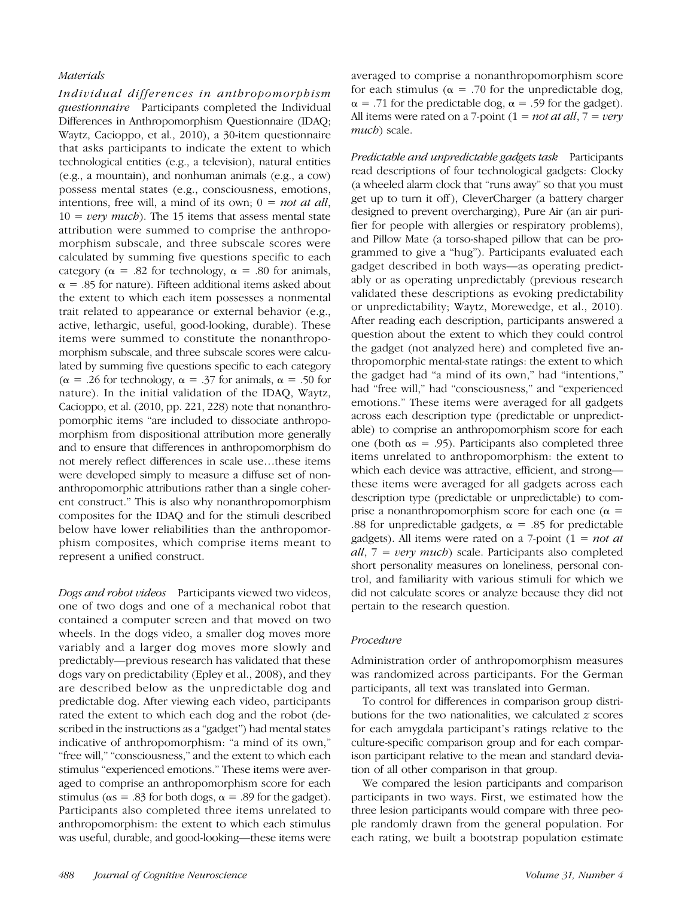## **Materials**

Individual differences in anthropomorphism questionnaire Participants completed the Individual Differences in Anthropomorphism Questionnaire (IDAQ; Waytz, Cacioppo, et al., 2010), a 30-item questionnaire that asks participants to indicate the extent to which technological entities (e.g., a television), natural entities (e.g., a mountain), and nonhuman animals (e.g., a cow) possess mental states (e.g., consciousness, emotions, intentions, free will, a mind of its own;  $0 = not$  at all,  $10 = very \, much$ ). The 15 items that assess mental state attribution were summed to comprise the anthropomorphism subscale, and three subscale scores were calculated by summing five questions specific to each category ( $\alpha$  = .82 for technology,  $\alpha$  = .80 for animals,  $\alpha$  = .85 for nature). Fifteen additional items asked about the extent to which each item possesses a nonmental trait related to appearance or external behavior (e.g., active, lethargic, useful, good-looking, durable). These items were summed to constitute the nonanthropomorphism subscale, and three subscale scores were calculated by summing five questions specific to each category (α = .26 for technology, α = .37 for animals, α = .50 for nature). In the initial validation of the IDAQ, Waytz, Cacioppo, et al. (2010, pp. 221, 228) note that nonanthropomorphic items "are included to dissociate anthropomorphism from dispositional attribution more generally and to ensure that differences in anthropomorphism do not merely reflect differences in scale use…these items were developed simply to measure a diffuse set of nonanthropomorphic attributions rather than a single coherent construct." This is also why nonanthropomorphism composites for the IDAQ and for the stimuli described below have lower reliabilities than the anthropomorphism composites, which comprise items meant to represent a unified construct.

Dogs and robot videos Participants viewed two videos, one of two dogs and one of a mechanical robot that contained a computer screen and that moved on two wheels. In the dogs video, a smaller dog moves more variably and a larger dog moves more slowly and predictably—previous research has validated that these dogs vary on predictability (Epley et al., 2008), and they are described below as the unpredictable dog and predictable dog. After viewing each video, participants rated the extent to which each dog and the robot (described in the instructions as a "gadget") had mental states indicative of anthropomorphism: "a mind of its own," "free will," "consciousness," and the extent to which each stimulus "experienced emotions." These items were averaged to comprise an anthropomorphism score for each stimulus ( $\alpha s = .83$  for both dogs,  $\alpha = .89$  for the gadget). Participants also completed three items unrelated to anthropomorphism: the extent to which each stimulus was useful, durable, and good-looking—these items were

averaged to comprise a nonanthropomorphism score for each stimulus ( $\alpha$  = .70 for the unpredictable dog,  $\alpha$  = .71 for the predictable dog,  $\alpha$  = .59 for the gadget). All items were rated on a 7-point (1 = *not at all*,  $7 = \text{very}$ ) much) scale.

Predictable and unpredictable gadgets task Participants read descriptions of four technological gadgets: Clocky (a wheeled alarm clock that "runs away" so that you must get up to turn it off), CleverCharger (a battery charger designed to prevent overcharging), Pure Air (an air purifier for people with allergies or respiratory problems), and Pillow Mate (a torso-shaped pillow that can be programmed to give a "hug"). Participants evaluated each gadget described in both ways—as operating predictably or as operating unpredictably (previous research validated these descriptions as evoking predictability or unpredictability; Waytz, Morewedge, et al., 2010). After reading each description, participants answered a question about the extent to which they could control the gadget (not analyzed here) and completed five anthropomorphic mental-state ratings: the extent to which the gadget had "a mind of its own," had "intentions," had "free will," had "consciousness," and "experienced emotions." These items were averaged for all gadgets across each description type (predictable or unpredictable) to comprise an anthropomorphism score for each one (both  $\alpha s = .95$ ). Participants also completed three items unrelated to anthropomorphism: the extent to which each device was attractive, efficient, and strong these items were averaged for all gadgets across each description type (predictable or unpredictable) to comprise a nonanthropomorphism score for each one ( $\alpha$  = .88 for unpredictable gadgets,  $\alpha$  = .85 for predictable gadgets). All items were rated on a 7-point  $(1 = not at$  $all, 7 = very \, much$ ) scale. Participants also completed short personality measures on loneliness, personal control, and familiarity with various stimuli for which we did not calculate scores or analyze because they did not pertain to the research question.

#### Procedure

Administration order of anthropomorphism measures was randomized across participants. For the German participants, all text was translated into German.

To control for differences in comparison group distributions for the two nationalities, we calculated  $z$  scores for each amygdala participant's ratings relative to the culture-specific comparison group and for each comparison participant relative to the mean and standard deviation of all other comparison in that group.

We compared the lesion participants and comparison participants in two ways. First, we estimated how the three lesion participants would compare with three people randomly drawn from the general population. For each rating, we built a bootstrap population estimate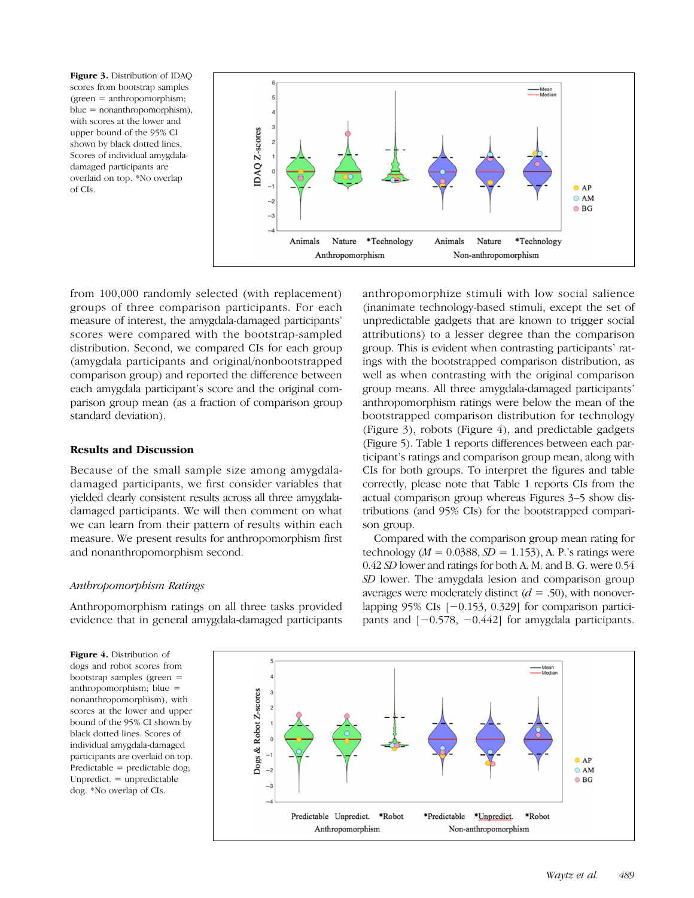Figure 3. Distribution of IDAQ scores from bootstrap samples (green = anthropomorphism; blue = nonanthropomorphism), with scores at the lower and upper bound of the 95% CI shown by black dotted lines. Scores of individual amygdaladamaged participants are overlaid on top. \*No overlap of CIs.



from 100,000 randomly selected (with replacement) groups of three comparison participants. For each measure of interest, the amygdala-damaged participants' scores were compared with the bootstrap-sampled distribution. Second, we compared CIs for each group (amygdala participants and original/nonbootstrapped comparison group) and reported the difference between each amygdala participant's score and the original comparison group mean (as a fraction of comparison group standard deviation).

#### Results and Discussion

Because of the small sample size among amygdaladamaged participants, we first consider variables that yielded clearly consistent results across all three amygdaladamaged participants. We will then comment on what we can learn from their pattern of results within each measure. We present results for anthropomorphism first and nonanthropomorphism second.

## Anthropomorphism Ratings

Anthropomorphism ratings on all three tasks provided evidence that in general amygdala-damaged participants

anthropomorphize stimuli with low social salience (inanimate technology-based stimuli, except the set of unpredictable gadgets that are known to trigger social attributions) to a lesser degree than the comparison group. This is evident when contrasting participants' ratings with the bootstrapped comparison distribution, as well as when contrasting with the original comparison group means. All three amygdala-damaged participants' anthropomorphism ratings were below the mean of the bootstrapped comparison distribution for technology (Figure 3), robots (Figure 4), and predictable gadgets (Figure 5). Table 1 reports differences between each participant's ratings and comparison group mean, along with CIs for both groups. To interpret the figures and table correctly, please note that Table 1 reports CIs from the actual comparison group whereas Figures 3–5 show distributions (and 95% CIs) for the bootstrapped comparison group.

Compared with the comparison group mean rating for technology ( $M = 0.0388$ ,  $SD = 1.153$ ), A. P.'s ratings were 0.42 SD lower and ratings for both A. M. and B. G. were 0.54 SD lower. The amygdala lesion and comparison group averages were moderately distinct  $(d = .50)$ , with nonoverlapping 95% CIs [−0.153, 0.329] for comparison participants and [−0.578, −0.442] for amygdala participants.

Figure 4. Distribution of dogs and robot scores from bootstrap samples (green = anthropomorphism; blue = nonanthropomorphism), with scores at the lower and upper bound of the 95% CI shown by black dotted lines. Scores of individual amygdala-damaged participants are overlaid on top. Predictable = predictable dog; Unpredict. = unpredictable dog. \*No overlap of CIs.

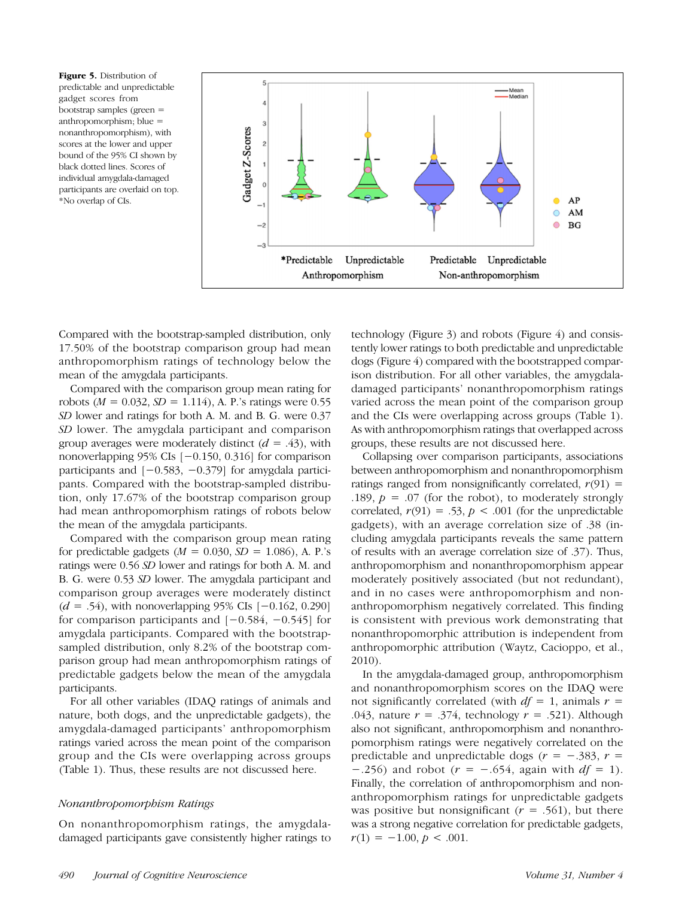Figure 5. Distribution of predictable and unpredictable gadget scores from bootstrap samples (green = anthropomorphism; blue = nonanthropomorphism), with scores at the lower and upper bound of the 95% CI shown by black dotted lines. Scores of individual amygdala-damaged participants are overlaid on top. \*No overlap of CIs.



Compared with the bootstrap-sampled distribution, only 17.50% of the bootstrap comparison group had mean anthropomorphism ratings of technology below the mean of the amygdala participants.

Compared with the comparison group mean rating for robots ( $M = 0.032$ ,  $SD = 1.114$ ), A. P.'s ratings were 0.55 SD lower and ratings for both A. M. and B. G. were 0.37 SD lower. The amygdala participant and comparison group averages were moderately distinct  $(d = .43)$ , with nonoverlapping 95% CIs [−0.150, 0.316] for comparison participants and [−0.583, −0.379] for amygdala participants. Compared with the bootstrap-sampled distribution, only 17.67% of the bootstrap comparison group had mean anthropomorphism ratings of robots below the mean of the amygdala participants.

Compared with the comparison group mean rating for predictable gadgets ( $M = 0.030$ ,  $SD = 1.086$ ), A. P.'s ratings were 0.56 SD lower and ratings for both A. M. and B. G. were 0.53 SD lower. The amygdala participant and comparison group averages were moderately distinct  $(d = .54)$ , with nonoverlapping 95% CIs  $[-0.162, 0.290]$ for comparison participants and [−0.584, −0.545] for amygdala participants. Compared with the bootstrapsampled distribution, only 8.2% of the bootstrap comparison group had mean anthropomorphism ratings of predictable gadgets below the mean of the amygdala participants.

For all other variables (IDAQ ratings of animals and nature, both dogs, and the unpredictable gadgets), the amygdala-damaged participants' anthropomorphism ratings varied across the mean point of the comparison group and the CIs were overlapping across groups (Table 1). Thus, these results are not discussed here.

## Nonanthropomorphism Ratings

On nonanthropomorphism ratings, the amygdaladamaged participants gave consistently higher ratings to technology (Figure 3) and robots (Figure 4) and consistently lower ratings to both predictable and unpredictable dogs (Figure 4) compared with the bootstrapped comparison distribution. For all other variables, the amygdaladamaged participants' nonanthropomorphism ratings varied across the mean point of the comparison group and the CIs were overlapping across groups (Table 1). As with anthropomorphism ratings that overlapped across groups, these results are not discussed here.

Collapsing over comparison participants, associations between anthropomorphism and nonanthropomorphism ratings ranged from nonsignificantly correlated,  $r(91)$  = .189,  $p = .07$  (for the robot), to moderately strongly correlated,  $r(91) = .53$ ,  $p < .001$  (for the unpredictable gadgets), with an average correlation size of .38 (including amygdala participants reveals the same pattern of results with an average correlation size of .37). Thus, anthropomorphism and nonanthropomorphism appear moderately positively associated (but not redundant), and in no cases were anthropomorphism and nonanthropomorphism negatively correlated. This finding is consistent with previous work demonstrating that nonanthropomorphic attribution is independent from anthropomorphic attribution (Waytz, Cacioppo, et al., 2010).

In the amygdala-damaged group, anthropomorphism and nonanthropomorphism scores on the IDAQ were not significantly correlated (with  $df = 1$ , animals  $r =$ .043, nature  $r = .374$ , technology  $r = .521$ ). Although also not significant, anthropomorphism and nonanthropomorphism ratings were negatively correlated on the predictable and unpredictable dogs  $(r = -0.383, r =$  $-0.256$ ) and robot ( $r = -0.654$ , again with  $df = 1$ ). Finally, the correlation of anthropomorphism and nonanthropomorphism ratings for unpredictable gadgets was positive but nonsignificant ( $r = .561$ ), but there was a strong negative correlation for predictable gadgets,  $r(1) = -1.00, p < .001.$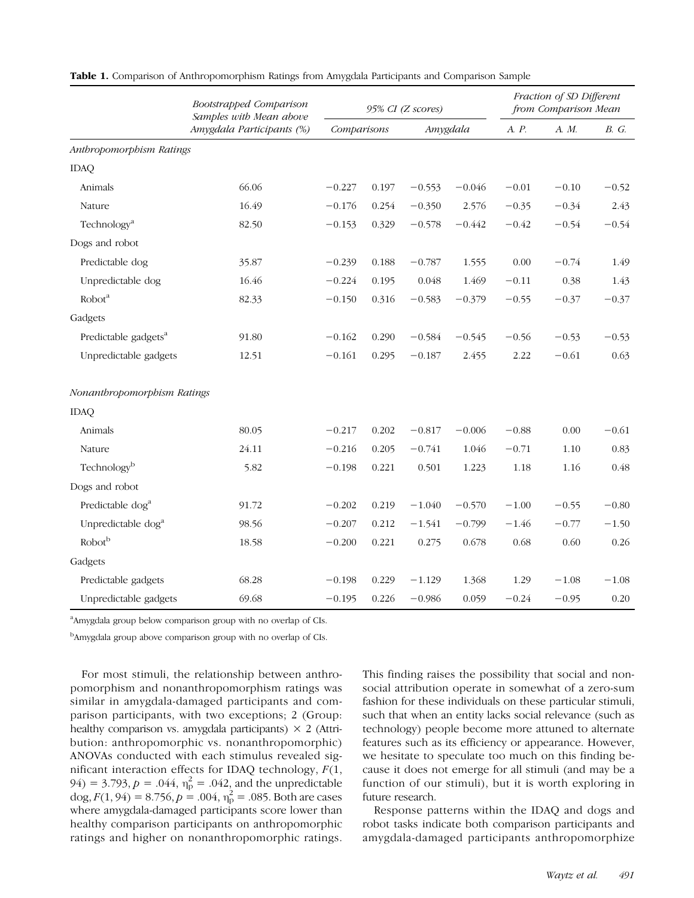|                                  | Bootstrapped Comparison<br>Samples with Mean above | 95% CI (Z scores) |       |          |          | Fraction of SD Different<br>from Comparison Mean |                 |         |
|----------------------------------|----------------------------------------------------|-------------------|-------|----------|----------|--------------------------------------------------|-----------------|---------|
|                                  | Amygdala Participants (%)                          | Comparisons       |       | Amygdala |          | A. P.                                            | $A\!\!$ $M\!\!$ | B. G.   |
| Anthropomorphism Ratings         |                                                    |                   |       |          |          |                                                  |                 |         |
| <b>IDAQ</b>                      |                                                    |                   |       |          |          |                                                  |                 |         |
| Animals                          | 66.06                                              | $-0.227$          | 0.197 | $-0.553$ | $-0.046$ | $-0.01$                                          | $-0.10$         | $-0.52$ |
| Nature                           | 16.49                                              | $-0.176$          | 0.254 | $-0.350$ | 2.576    | $-0.35$                                          | $-0.34$         | 2.43    |
| Technology <sup>a</sup>          | 82.50                                              | $-0.153$          | 0.329 | $-0.578$ | $-0.442$ | $-0.42$                                          | $-0.54$         | $-0.54$ |
| Dogs and robot                   |                                                    |                   |       |          |          |                                                  |                 |         |
| Predictable dog                  | 35.87                                              | $-0.239$          | 0.188 | $-0.787$ | 1.555    | 0.00                                             | $-0.74$         | 1.49    |
| Unpredictable dog                | 16.46                                              | $-0.224$          | 0.195 | 0.048    | 1.469    | $-0.11$                                          | 0.38            | 1.43    |
| Robot <sup>a</sup>               | 82.33                                              | $-0.150$          | 0.316 | $-0.583$ | $-0.379$ | $-0.55$                                          | $-0.37$         | $-0.37$ |
| Gadgets                          |                                                    |                   |       |          |          |                                                  |                 |         |
| Predictable gadgets <sup>a</sup> | 91.80                                              | $-0.162$          | 0.290 | $-0.584$ | $-0.545$ | $-0.56$                                          | $-0.53$         | $-0.53$ |
| Unpredictable gadgets            | 12.51                                              | $-0.161$          | 0.295 | $-0.187$ | 2.455    | 2.22                                             | $-0.61$         | 0.63    |
| Nonanthropomorphism Ratings      |                                                    |                   |       |          |          |                                                  |                 |         |
| <b>IDAQ</b>                      |                                                    |                   |       |          |          |                                                  |                 |         |
| Animals                          | 80.05                                              | $-0.217$          | 0.202 | $-0.817$ | $-0.006$ | $-0.88$                                          | 0.00            | $-0.61$ |
| Nature                           | 24.11                                              | $-0.216$          | 0.205 | $-0.741$ | 1.046    | $-0.71$                                          | 1.10            | 0.83    |
| Technology <sup>b</sup>          | 5.82                                               | $-0.198$          | 0.221 | 0.501    | 1.223    | 1.18                                             | 1.16            | 0.48    |
| Dogs and robot                   |                                                    |                   |       |          |          |                                                  |                 |         |
| Predictable dog <sup>a</sup>     | 91.72                                              | $-0.202$          | 0.219 | $-1.040$ | $-0.570$ | $-1.00$                                          | $-0.55$         | $-0.80$ |
| Unpredictable dog <sup>a</sup>   | 98.56                                              | $-0.207$          | 0.212 | $-1.541$ | $-0.799$ | $-1.46$                                          | $-0.77$         | $-1.50$ |
| Robot <sup>b</sup>               | 18.58                                              | $-0.200$          | 0.221 | 0.275    | 0.678    | 0.68                                             | 0.60            | 0.26    |
| Gadgets                          |                                                    |                   |       |          |          |                                                  |                 |         |
| Predictable gadgets              | 68.28                                              | $-0.198$          | 0.229 | $-1.129$ | 1.368    | 1.29                                             | $-1.08$         | $-1.08$ |
| Unpredictable gadgets            | 69.68                                              | $-0.195$          | 0.226 | $-0.986$ | 0.059    | $-0.24$                                          | $-0.95$         | 0.20    |

|  | Table 1. Comparison of Anthropomorphism Ratings from Amygdala Participants and Comparison Sample |  |  |  |  |  |
|--|--------------------------------------------------------------------------------------------------|--|--|--|--|--|
|  |                                                                                                  |  |  |  |  |  |

<sup>a</sup>Amygdala group below comparison group with no overlap of CIs.

<sup>b</sup>Amygdala group above comparison group with no overlap of CIs.

For most stimuli, the relationship between anthropomorphism and nonanthropomorphism ratings was similar in amygdala-damaged participants and comparison participants, with two exceptions; 2 (Group: healthy comparison vs. amygdala participants)  $\times$  2 (Attribution: anthropomorphic vs. nonanthropomorphic) ANOVAs conducted with each stimulus revealed significant interaction effects for IDAQ technology,  $F(1,$ 94) = 3.793,  $p = .044$ ,  $\eta_p^2 = .042$ , and the unpredictable  $\log F(1, 94) = 8.756, p = .004, \eta_p^2 = .085$ . Both are cases where amygdala-damaged participants score lower than healthy comparison participants on anthropomorphic ratings and higher on nonanthropomorphic ratings. This finding raises the possibility that social and nonsocial attribution operate in somewhat of a zero-sum fashion for these individuals on these particular stimuli, such that when an entity lacks social relevance (such as technology) people become more attuned to alternate features such as its efficiency or appearance. However, we hesitate to speculate too much on this finding because it does not emerge for all stimuli (and may be a function of our stimuli), but it is worth exploring in future research.

Response patterns within the IDAQ and dogs and robot tasks indicate both comparison participants and amygdala-damaged participants anthropomorphize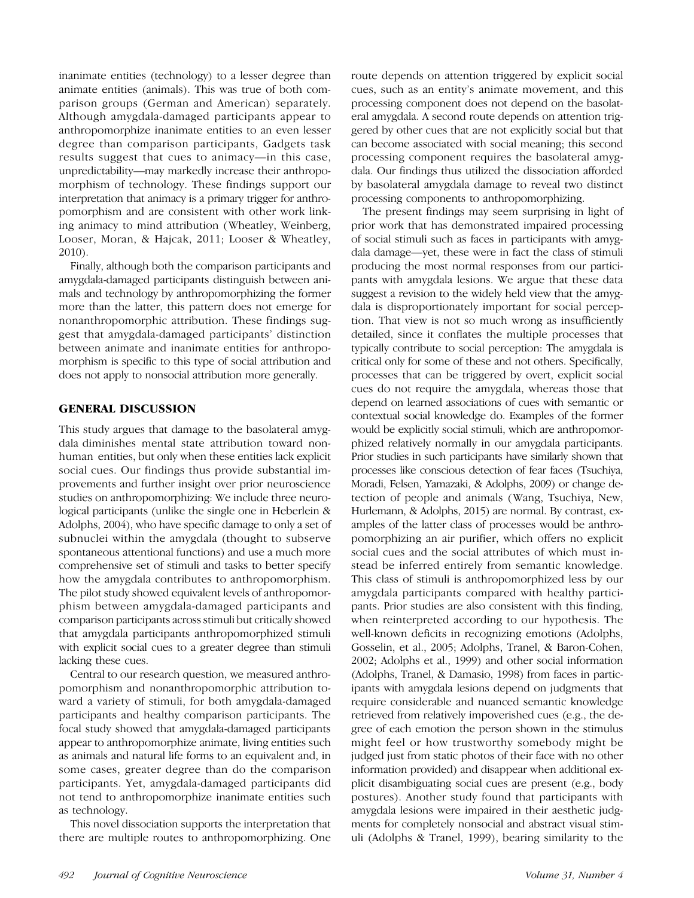inanimate entities (technology) to a lesser degree than animate entities (animals). This was true of both comparison groups (German and American) separately. Although amygdala-damaged participants appear to anthropomorphize inanimate entities to an even lesser degree than comparison participants, Gadgets task results suggest that cues to animacy—in this case, unpredictability—may markedly increase their anthropomorphism of technology. These findings support our interpretation that animacy is a primary trigger for anthropomorphism and are consistent with other work linking animacy to mind attribution (Wheatley, Weinberg, Looser, Moran, & Hajcak, 2011; Looser & Wheatley, 2010).

Finally, although both the comparison participants and amygdala-damaged participants distinguish between animals and technology by anthropomorphizing the former more than the latter, this pattern does not emerge for nonanthropomorphic attribution. These findings suggest that amygdala-damaged participants' distinction between animate and inanimate entities for anthropomorphism is specific to this type of social attribution and does not apply to nonsocial attribution more generally.

# GENERAL DISCUSSION

This study argues that damage to the basolateral amygdala diminishes mental state attribution toward nonhuman entities, but only when these entities lack explicit social cues. Our findings thus provide substantial improvements and further insight over prior neuroscience studies on anthropomorphizing: We include three neurological participants (unlike the single one in Heberlein & Adolphs, 2004), who have specific damage to only a set of subnuclei within the amygdala (thought to subserve spontaneous attentional functions) and use a much more comprehensive set of stimuli and tasks to better specify how the amygdala contributes to anthropomorphism. The pilot study showed equivalent levels of anthropomorphism between amygdala-damaged participants and comparison participants across stimuli but critically showed that amygdala participants anthropomorphized stimuli with explicit social cues to a greater degree than stimuli lacking these cues.

Central to our research question, we measured anthropomorphism and nonanthropomorphic attribution toward a variety of stimuli, for both amygdala-damaged participants and healthy comparison participants. The focal study showed that amygdala-damaged participants appear to anthropomorphize animate, living entities such as animals and natural life forms to an equivalent and, in some cases, greater degree than do the comparison participants. Yet, amygdala-damaged participants did not tend to anthropomorphize inanimate entities such as technology.

This novel dissociation supports the interpretation that there are multiple routes to anthropomorphizing. One

route depends on attention triggered by explicit social cues, such as an entity's animate movement, and this processing component does not depend on the basolateral amygdala. A second route depends on attention triggered by other cues that are not explicitly social but that can become associated with social meaning; this second processing component requires the basolateral amygdala. Our findings thus utilized the dissociation afforded by basolateral amygdala damage to reveal two distinct processing components to anthropomorphizing.

The present findings may seem surprising in light of prior work that has demonstrated impaired processing of social stimuli such as faces in participants with amygdala damage—yet, these were in fact the class of stimuli producing the most normal responses from our participants with amygdala lesions. We argue that these data suggest a revision to the widely held view that the amygdala is disproportionately important for social perception. That view is not so much wrong as insufficiently detailed, since it conflates the multiple processes that typically contribute to social perception: The amygdala is critical only for some of these and not others. Specifically, processes that can be triggered by overt, explicit social cues do not require the amygdala, whereas those that depend on learned associations of cues with semantic or contextual social knowledge do. Examples of the former would be explicitly social stimuli, which are anthropomorphized relatively normally in our amygdala participants. Prior studies in such participants have similarly shown that processes like conscious detection of fear faces (Tsuchiya, Moradi, Felsen, Yamazaki, & Adolphs, 2009) or change detection of people and animals (Wang, Tsuchiya, New, Hurlemann, & Adolphs, 2015) are normal. By contrast, examples of the latter class of processes would be anthropomorphizing an air purifier, which offers no explicit social cues and the social attributes of which must instead be inferred entirely from semantic knowledge. This class of stimuli is anthropomorphized less by our amygdala participants compared with healthy participants. Prior studies are also consistent with this finding, when reinterpreted according to our hypothesis. The well-known deficits in recognizing emotions (Adolphs, Gosselin, et al., 2005; Adolphs, Tranel, & Baron-Cohen, 2002; Adolphs et al., 1999) and other social information (Adolphs, Tranel, & Damasio, 1998) from faces in participants with amygdala lesions depend on judgments that require considerable and nuanced semantic knowledge retrieved from relatively impoverished cues (e.g., the degree of each emotion the person shown in the stimulus might feel or how trustworthy somebody might be judged just from static photos of their face with no other information provided) and disappear when additional explicit disambiguating social cues are present (e.g., body postures). Another study found that participants with amygdala lesions were impaired in their aesthetic judgments for completely nonsocial and abstract visual stimuli (Adolphs & Tranel, 1999), bearing similarity to the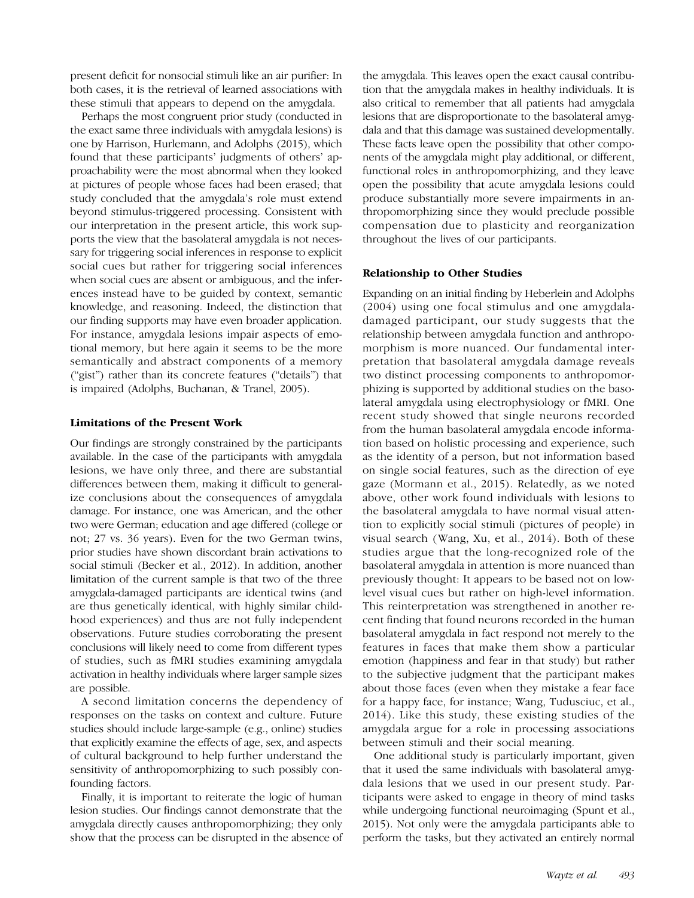present deficit for nonsocial stimuli like an air purifier: In both cases, it is the retrieval of learned associations with these stimuli that appears to depend on the amygdala.

Perhaps the most congruent prior study (conducted in the exact same three individuals with amygdala lesions) is one by Harrison, Hurlemann, and Adolphs (2015), which found that these participants' judgments of others' approachability were the most abnormal when they looked at pictures of people whose faces had been erased; that study concluded that the amygdala's role must extend beyond stimulus-triggered processing. Consistent with our interpretation in the present article, this work supports the view that the basolateral amygdala is not necessary for triggering social inferences in response to explicit social cues but rather for triggering social inferences when social cues are absent or ambiguous, and the inferences instead have to be guided by context, semantic knowledge, and reasoning. Indeed, the distinction that our finding supports may have even broader application. For instance, amygdala lesions impair aspects of emotional memory, but here again it seems to be the more semantically and abstract components of a memory ("gist") rather than its concrete features ("details") that is impaired (Adolphs, Buchanan, & Tranel, 2005).

## Limitations of the Present Work

Our findings are strongly constrained by the participants available. In the case of the participants with amygdala lesions, we have only three, and there are substantial differences between them, making it difficult to generalize conclusions about the consequences of amygdala damage. For instance, one was American, and the other two were German; education and age differed (college or not; 27 vs. 36 years). Even for the two German twins, prior studies have shown discordant brain activations to social stimuli (Becker et al., 2012). In addition, another limitation of the current sample is that two of the three amygdala-damaged participants are identical twins (and are thus genetically identical, with highly similar childhood experiences) and thus are not fully independent observations. Future studies corroborating the present conclusions will likely need to come from different types of studies, such as fMRI studies examining amygdala activation in healthy individuals where larger sample sizes are possible.

A second limitation concerns the dependency of responses on the tasks on context and culture. Future studies should include large-sample (e.g., online) studies that explicitly examine the effects of age, sex, and aspects of cultural background to help further understand the sensitivity of anthropomorphizing to such possibly confounding factors.

Finally, it is important to reiterate the logic of human lesion studies. Our findings cannot demonstrate that the amygdala directly causes anthropomorphizing; they only show that the process can be disrupted in the absence of

the amygdala. This leaves open the exact causal contribution that the amygdala makes in healthy individuals. It is also critical to remember that all patients had amygdala lesions that are disproportionate to the basolateral amygdala and that this damage was sustained developmentally. These facts leave open the possibility that other components of the amygdala might play additional, or different, functional roles in anthropomorphizing, and they leave open the possibility that acute amygdala lesions could produce substantially more severe impairments in anthropomorphizing since they would preclude possible compensation due to plasticity and reorganization throughout the lives of our participants.

# Relationship to Other Studies

Expanding on an initial finding by Heberlein and Adolphs (2004) using one focal stimulus and one amygdaladamaged participant, our study suggests that the relationship between amygdala function and anthropomorphism is more nuanced. Our fundamental interpretation that basolateral amygdala damage reveals two distinct processing components to anthropomorphizing is supported by additional studies on the basolateral amygdala using electrophysiology or fMRI. One recent study showed that single neurons recorded from the human basolateral amygdala encode information based on holistic processing and experience, such as the identity of a person, but not information based on single social features, such as the direction of eye gaze (Mormann et al., 2015). Relatedly, as we noted above, other work found individuals with lesions to the basolateral amygdala to have normal visual attention to explicitly social stimuli (pictures of people) in visual search (Wang, Xu, et al., 2014). Both of these studies argue that the long-recognized role of the basolateral amygdala in attention is more nuanced than previously thought: It appears to be based not on lowlevel visual cues but rather on high-level information. This reinterpretation was strengthened in another recent finding that found neurons recorded in the human basolateral amygdala in fact respond not merely to the features in faces that make them show a particular emotion (happiness and fear in that study) but rather to the subjective judgment that the participant makes about those faces (even when they mistake a fear face for a happy face, for instance; Wang, Tudusciuc, et al., 2014). Like this study, these existing studies of the amygdala argue for a role in processing associations between stimuli and their social meaning.

One additional study is particularly important, given that it used the same individuals with basolateral amygdala lesions that we used in our present study. Participants were asked to engage in theory of mind tasks while undergoing functional neuroimaging (Spunt et al., 2015). Not only were the amygdala participants able to perform the tasks, but they activated an entirely normal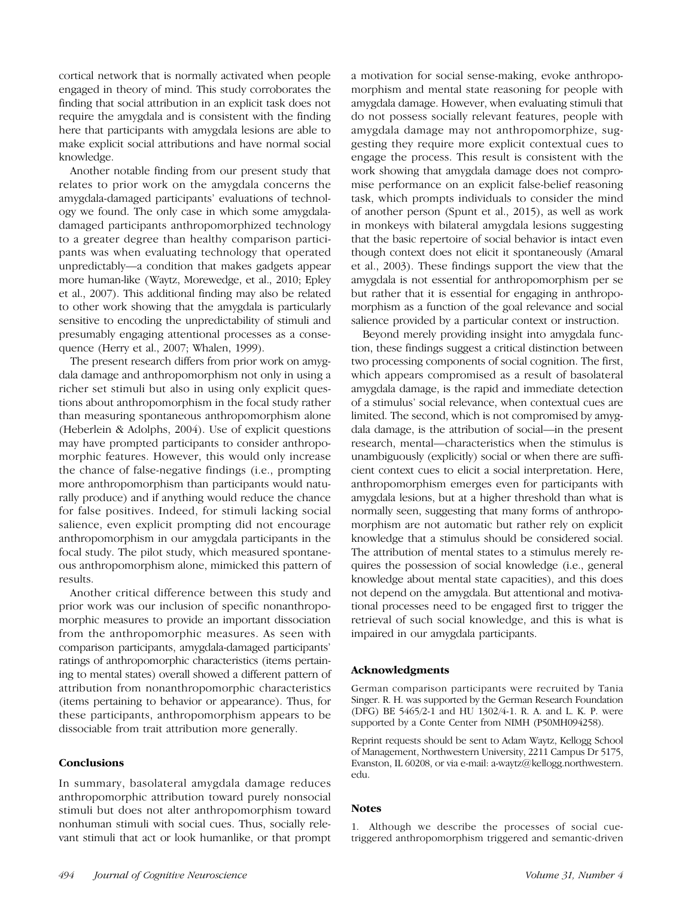cortical network that is normally activated when people engaged in theory of mind. This study corroborates the finding that social attribution in an explicit task does not require the amygdala and is consistent with the finding here that participants with amygdala lesions are able to make explicit social attributions and have normal social knowledge.

Another notable finding from our present study that relates to prior work on the amygdala concerns the amygdala-damaged participants' evaluations of technology we found. The only case in which some amygdaladamaged participants anthropomorphized technology to a greater degree than healthy comparison participants was when evaluating technology that operated unpredictably—a condition that makes gadgets appear more human-like (Waytz, Morewedge, et al., 2010; Epley et al., 2007). This additional finding may also be related to other work showing that the amygdala is particularly sensitive to encoding the unpredictability of stimuli and presumably engaging attentional processes as a consequence (Herry et al., 2007; Whalen, 1999).

The present research differs from prior work on amygdala damage and anthropomorphism not only in using a richer set stimuli but also in using only explicit questions about anthropomorphism in the focal study rather than measuring spontaneous anthropomorphism alone (Heberlein & Adolphs, 2004). Use of explicit questions may have prompted participants to consider anthropomorphic features. However, this would only increase the chance of false-negative findings (i.e., prompting more anthropomorphism than participants would naturally produce) and if anything would reduce the chance for false positives. Indeed, for stimuli lacking social salience, even explicit prompting did not encourage anthropomorphism in our amygdala participants in the focal study. The pilot study, which measured spontaneous anthropomorphism alone, mimicked this pattern of results.

Another critical difference between this study and prior work was our inclusion of specific nonanthropomorphic measures to provide an important dissociation from the anthropomorphic measures. As seen with comparison participants, amygdala-damaged participants' ratings of anthropomorphic characteristics (items pertaining to mental states) overall showed a different pattern of attribution from nonanthropomorphic characteristics (items pertaining to behavior or appearance). Thus, for these participants, anthropomorphism appears to be dissociable from trait attribution more generally.

#### **Conclusions**

In summary, basolateral amygdala damage reduces anthropomorphic attribution toward purely nonsocial stimuli but does not alter anthropomorphism toward nonhuman stimuli with social cues. Thus, socially relevant stimuli that act or look humanlike, or that prompt

a motivation for social sense-making, evoke anthropomorphism and mental state reasoning for people with amygdala damage. However, when evaluating stimuli that do not possess socially relevant features, people with amygdala damage may not anthropomorphize, suggesting they require more explicit contextual cues to engage the process. This result is consistent with the work showing that amygdala damage does not compromise performance on an explicit false-belief reasoning task, which prompts individuals to consider the mind of another person (Spunt et al., 2015), as well as work in monkeys with bilateral amygdala lesions suggesting that the basic repertoire of social behavior is intact even though context does not elicit it spontaneously (Amaral et al., 2003). These findings support the view that the amygdala is not essential for anthropomorphism per se but rather that it is essential for engaging in anthropomorphism as a function of the goal relevance and social salience provided by a particular context or instruction.

Beyond merely providing insight into amygdala function, these findings suggest a critical distinction between two processing components of social cognition. The first, which appears compromised as a result of basolateral amygdala damage, is the rapid and immediate detection of a stimulus' social relevance, when contextual cues are limited. The second, which is not compromised by amygdala damage, is the attribution of social—in the present research, mental—characteristics when the stimulus is unambiguously (explicitly) social or when there are sufficient context cues to elicit a social interpretation. Here, anthropomorphism emerges even for participants with amygdala lesions, but at a higher threshold than what is normally seen, suggesting that many forms of anthropomorphism are not automatic but rather rely on explicit knowledge that a stimulus should be considered social. The attribution of mental states to a stimulus merely requires the possession of social knowledge (i.e., general knowledge about mental state capacities), and this does not depend on the amygdala. But attentional and motivational processes need to be engaged first to trigger the retrieval of such social knowledge, and this is what is impaired in our amygdala participants.

#### Acknowledgments

German comparison participants were recruited by Tania Singer. R. H. was supported by the German Research Foundation (DFG) BE 5465/2-1 and HU 1302/4-1. R. A. and L. K. P. were supported by a Conte Center from NIMH (P50MH094258).

Reprint requests should be sent to Adam Waytz, Kellogg School of Management, Northwestern University, 2211 Campus Dr 5175, Evanston, IL 60208, or via e-mail: a-waytz@kellogg.northwestern. edu.

#### Notes

1. Although we describe the processes of social cuetriggered anthropomorphism triggered and semantic-driven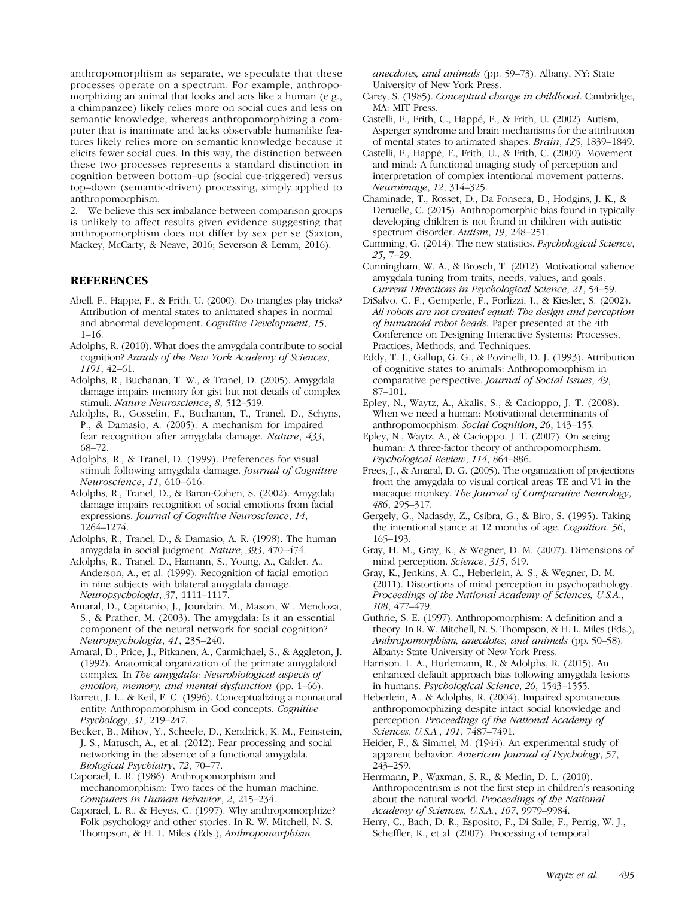anthropomorphism as separate, we speculate that these processes operate on a spectrum. For example, anthropomorphizing an animal that looks and acts like a human (e.g., a chimpanzee) likely relies more on social cues and less on semantic knowledge, whereas anthropomorphizing a computer that is inanimate and lacks observable humanlike features likely relies more on semantic knowledge because it elicits fewer social cues. In this way, the distinction between these two processes represents a standard distinction in cognition between bottom–up (social cue-triggered) versus top–down (semantic-driven) processing, simply applied to anthropomorphism.

2. We believe this sex imbalance between comparison groups is unlikely to affect results given evidence suggesting that anthropomorphism does not differ by sex per se (Saxton, Mackey, McCarty, & Neave, 2016; Severson & Lemm, 2016).

## REFERENCES

- Abell, F., Happe, F., & Frith, U. (2000). Do triangles play tricks? Attribution of mental states to animated shapes in normal and abnormal development. Cognitive Development, 15, 1–16.
- Adolphs, R. (2010). What does the amygdala contribute to social cognition? Annals of the New York Academy of Sciences, 1191, 42–61.
- Adolphs, R., Buchanan, T. W., & Tranel, D. (2005). Amygdala damage impairs memory for gist but not details of complex stimuli. Nature Neuroscience, 8, 512–519.
- Adolphs, R., Gosselin, F., Buchanan, T., Tranel, D., Schyns, P., & Damasio, A. (2005). A mechanism for impaired fear recognition after amygdala damage. Nature, 433, 68–72.
- Adolphs, R., & Tranel, D. (1999). Preferences for visual stimuli following amygdala damage. Journal of Cognitive Neuroscience, 11, 610–616.
- Adolphs, R., Tranel, D., & Baron-Cohen, S. (2002). Amygdala damage impairs recognition of social emotions from facial expressions. Journal of Cognitive Neuroscience, 14, 1264–1274.
- Adolphs, R., Tranel, D., & Damasio, A. R. (1998). The human amygdala in social judgment. Nature, 393, 470–474.
- Adolphs, R., Tranel, D., Hamann, S., Young, A., Calder, A., Anderson, A., et al. (1999). Recognition of facial emotion in nine subjects with bilateral amygdala damage. Neuropsychologia, 37, 1111–1117.
- Amaral, D., Capitanio, J., Jourdain, M., Mason, W., Mendoza, S., & Prather, M. (2003). The amygdala: Is it an essential component of the neural network for social cognition? Neuropsychologia, 41, 235–240.
- Amaral, D., Price, J., Pitkanen, A., Carmichael, S., & Aggleton, J. (1992). Anatomical organization of the primate amygdaloid complex. In The amygdala: Neurobiological aspects of emotion, memory, and mental dysfunction (pp. 1-66).
- Barrett, J. L., & Keil, F. C. (1996). Conceptualizing a nonnatural entity: Anthropomorphism in God concepts. Cognitive Psychology, 31, 219–247.

Becker, B., Mihov, Y., Scheele, D., Kendrick, K. M., Feinstein, J. S., Matusch, A., et al. (2012). Fear processing and social networking in the absence of a functional amygdala. Biological Psychiatry, 72, 70–77.

Caporael, L. R. (1986). Anthropomorphism and mechanomorphism: Two faces of the human machine. Computers in Human Behavior, 2, 215–234.

Caporael, L. R., & Heyes, C. (1997). Why anthropomorphize? Folk psychology and other stories. In R. W. Mitchell, N. S. Thompson, & H. L. Miles (Eds.), Anthropomorphism,

anecdotes, and animals (pp. 59–73). Albany, NY: State University of New York Press.

- Carey, S. (1985). Conceptual change in childhood. Cambridge, MA: MIT Press.
- Castelli, F., Frith, C., Happé, F., & Frith, U. (2002). Autism, Asperger syndrome and brain mechanisms for the attribution of mental states to animated shapes. Brain, 125, 1839–1849.
- Castelli, F., Happé, F., Frith, U., & Frith, C. (2000). Movement and mind: A functional imaging study of perception and interpretation of complex intentional movement patterns. Neuroimage, 12, 314–325.
- Chaminade, T., Rosset, D., Da Fonseca, D., Hodgins, J. K., & Deruelle, C. (2015). Anthropomorphic bias found in typically developing children is not found in children with autistic spectrum disorder. Autism, 19, 248–251.
- Cumming, G. (2014). The new statistics. Psychological Science, 25, 7–29.
- Cunningham, W. A., & Brosch, T. (2012). Motivational salience amygdala tuning from traits, needs, values, and goals. Current Directions in Psychological Science, 21, 54–59.
- DiSalvo, C. F., Gemperle, F., Forlizzi, J., & Kiesler, S. (2002). All robots are not created equal: The design and perception of humanoid robot heads. Paper presented at the 4th Conference on Designing Interactive Systems: Processes, Practices, Methods, and Techniques.
- Eddy, T. J., Gallup, G. G., & Povinelli, D. J. (1993). Attribution of cognitive states to animals: Anthropomorphism in comparative perspective. Journal of Social Issues, 49, 87–101.
- Epley, N., Waytz, A., Akalis, S., & Cacioppo, J. T. (2008). When we need a human: Motivational determinants of anthropomorphism. Social Cognition, 26, 143–155.
- Epley, N., Waytz, A., & Cacioppo, J. T. (2007). On seeing human: A three-factor theory of anthropomorphism. Psychological Review, 114, 864–886.
- Frees, J., & Amaral, D. G. (2005). The organization of projections from the amygdala to visual cortical areas TE and V1 in the macaque monkey. The Journal of Comparative Neurology, 486, 295–317.
- Gergely, G., Nadasdy, Z., Csibra, G., & Biro, S. (1995). Taking the intentional stance at 12 months of age. Cognition, 56, 165–193.
- Gray, H. M., Gray, K., & Wegner, D. M. (2007). Dimensions of mind perception. Science, 315, 619.
- Gray, K., Jenkins, A. C., Heberlein, A. S., & Wegner, D. M. (2011). Distortions of mind perception in psychopathology. Proceedings of the National Academy of Sciences, U.S.A., 108, 477–479.
- Guthrie, S. E. (1997). Anthropomorphism: A definition and a theory. In R. W. Mitchell, N. S. Thompson, & H. L. Miles (Eds.), Anthropomorphism, anecdotes, and animals (pp. 50–58). Albany: State University of New York Press.
- Harrison, L. A., Hurlemann, R., & Adolphs, R. (2015). An enhanced default approach bias following amygdala lesions in humans. Psychological Science, 26, 1543–1555.
- Heberlein, A., & Adolphs, R. (2004). Impaired spontaneous anthropomorphizing despite intact social knowledge and perception. Proceedings of the National Academy of Sciences, U.S.A., 101, 7487–7491.
- Heider, F., & Simmel, M. (1944). An experimental study of apparent behavior. American Journal of Psychology, 57, 243–259.
- Herrmann, P., Waxman, S. R., & Medin, D. L. (2010). Anthropocentrism is not the first step in children's reasoning about the natural world. Proceedings of the National Academy of Sciences, U.S.A., 107, 9979–9984.
- Herry, C., Bach, D. R., Esposito, F., Di Salle, F., Perrig, W. J., Scheffler, K., et al. (2007). Processing of temporal